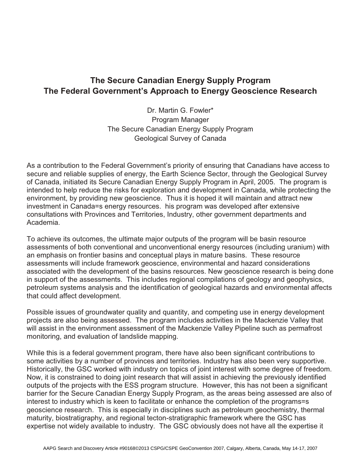## **The Secure Canadian Energy Supply Program The Federal Government's Approach to Energy Geoscience Research**

Dr. Martin G. Fowler\* Program Manager The Secure Canadian Energy Supply Program Geological Survey of Canada

As a contribution to the Federal Government's priority of ensuring that Canadians have access to secure and reliable supplies of energy, the Earth Science Sector, through the Geological Survey of Canada, initiated its Secure Canadian Energy Supply Program in April, 2005. The program is intended to help reduce the risks for exploration and development in Canada, while protecting the environment, by providing new geoscience. Thus it is hoped it will maintain and attract new investment in Canada=s energy resources. his program was developed after extensive consultations with Provinces and Territories, Industry, other government departments and Academia.

To achieve its outcomes, the ultimate major outputs of the program will be basin resource assessments of both conventional and unconventional energy resources (including uranium) with an emphasis on frontier basins and conceptual plays in mature basins. These resource assessments will include framework geoscience, environmental and hazard considerations associated with the development of the basins resources. New geoscience research is being done in support of the assessments. This includes regional compilations of geology and geophysics, petroleum systems analysis and the identification of geological hazards and environmental affects that could affect development.

Possible issues of groundwater quality and quantity, and competing use in energy development projects are also being assessed. The program includes activities in the Mackenzie Valley that will assist in the environment assessment of the Mackenzie Valley Pipeline such as permafrost monitoring, and evaluation of landslide mapping.

While this is a federal government program, there have also been significant contributions to some activities by a number of provinces and territories. Industry has also been very supportive. Historically, the GSC worked with industry on topics of joint interest with some degree of freedom. Now, it is constrained to doing joint research that will assist in achieving the previously identified outputs of the projects with the ESS program structure. However, this has not been a significant barrier for the Secure Canadian Energy Supply Program, as the areas being assessed are also of interest to industry which is keen to facilitate or enhance the completion of the programs=s geoscience research. This is especially in disciplines such as petroleum geochemistry, thermal maturity, biostratigraphy, and regional tecton-stratigraphic framework where the GSC has expertise not widely available to industry. The GSC obviously does not have all the expertise it